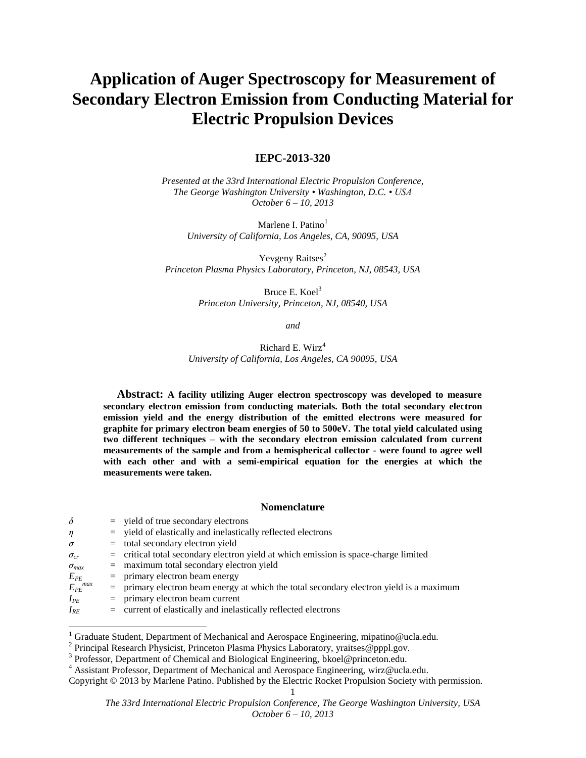# **Application of Auger Spectroscopy for Measurement of Secondary Electron Emission from Conducting Material for Electric Propulsion Devices**

# **IEPC-2013-320**

*Presented at the 33rd International Electric Propulsion Conference, The George Washington University • Washington, D.C. • USA October 6 – 10, 2013*

Marlene I. Patino<sup>1</sup> *University of California, Los Angeles, CA, 90095, USA*

Yevgeny Raitses<sup>2</sup> *Princeton Plasma Physics Laboratory, Princeton, NJ, 08543, USA*

> Bruce E.  $K$ oel $3$ *Princeton University, Princeton, NJ, 08540, USA*

> > *and*

Richard E. Wirz<sup>4</sup> *University of California, Los Angeles, CA 90095, USA*

**Abstract: A facility utilizing Auger electron spectroscopy was developed to measure secondary electron emission from conducting materials. Both the total secondary electron emission yield and the energy distribution of the emitted electrons were measured for graphite for primary electron beam energies of 50 to 500eV. The total yield calculated using two different techniques – with the secondary electron emission calculated from current measurements of the sample and from a hemispherical collector - were found to agree well with each other and with a semi-empirical equation for the energies at which the measurements were taken.**

# **Nomenclature**

| $\delta$                | $=$ yield of true secondary electrons                                                     |
|-------------------------|-------------------------------------------------------------------------------------------|
| $\eta$                  | $=$ yield of elastically and inelastically reflected electrons                            |
| $\sigma$                | $=$ total secondary electron yield                                                        |
| $\sigma_{cr}$           | $=$ critical total secondary electron yield at which emission is space-charge limited     |
| $\sigma_{max}$          | $=$ maximum total secondary electron yield                                                |
| $E_{PE}$                | $=$ primary electron beam energy                                                          |
| $E_{PE}$ <sup>max</sup> | $=$ primary electron beam energy at which the total secondary electron yield is a maximum |
| $I_{PE}$                | $=$ primary electron beam current                                                         |
| $I_{RE}$                | $=$ current of elastically and inelastically reflected electrons                          |
|                         |                                                                                           |
|                         |                                                                                           |

<sup>1</sup> Graduate Student, Department of Mechanical and Aerospace Engineering, mipatino@ucla.edu.

1 Copyright © 2013 by Marlene Patino. Published by the Electric Rocket Propulsion Society with permission.

<sup>&</sup>lt;sup>2</sup> Principal Research Physicist, Princeton Plasma Physics Laboratory, yraitses@pppl.gov.

<sup>&</sup>lt;sup>3</sup> Professor, Department of Chemical and Biological Engineering, bkoel@princeton.edu.

<sup>4</sup> Assistant Professor, Department of Mechanical and Aerospace Engineering, [wirz@ucla.edu.](mailto:wirz@ucla.edu)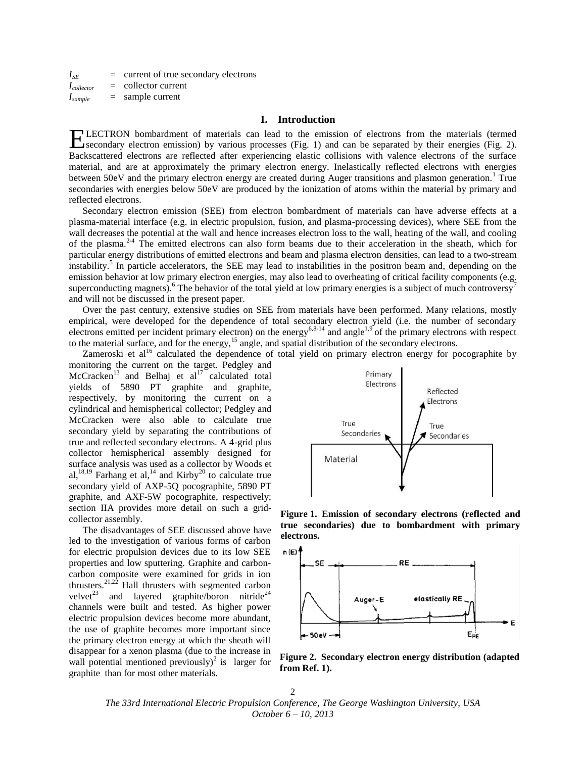$I_{SE}$  = current of true secondary electrons  $I_{\text{collector}}$  = collector current *Isample* = sample current

# <span id="page-1-1"></span>**I. Introduction**

LECTRON bombardment of materials can lead to the emission of electrons from the materials (termed ELECTRON bombardment of materials can lead to the emission of electrons from the materials (termed secondary electron emission) by various processes (Fig. 1) and can be separated by their energies (Fig. 2). Backscattered electrons are reflected after experiencing elastic collisions with valence electrons of the surface material, and are at approximately the primary electron energy. Inelastically reflected electrons with energies between 50eV and the primary electron energy are created during Auger transitions and plasmon generation.<sup>1</sup> True secondaries with energies below 50eV are produced by the ionization of atoms within the material by primary and reflected electrons.

<span id="page-1-3"></span>Secondary electron emission (SEE) from electron bombardment of materials can have adverse effects at a plasma-material interface (e.g. in electric propulsion, fusion, and plasma-processing devices), where SEE from the wall decreases the potential at the wall and hence increases electron loss to the wall, heating of the wall, and cooling of the plasma.2-4 The emitted electrons can also form beams due to their acceleration in the sheath, which for particular energy distributions of emitted electrons and beam and plasma electron densities, can lead to a two-stream instability.<sup>5</sup> In particle accelerators, the SEE may lead to instabilities in the positron beam and, depending on the emission behavior at low primary electron energies, may also lead to overheating of critical facility components (e.g. superconducting magnets). <sup>6</sup> The behavior of the total yield at low primary energies is a subject of much controversy<sup>7</sup> and will not be discussed in the present paper.

<span id="page-1-0"></span>Over the past century, extensive studies on SEE from materials have been performed. Many relations, mostly empirical, were developed for the dependence of total secondary electron yield (i.e. the number of secondary electrons emitted per incident primary electron) on the energy<sup>[6,8](#page-1-0)-14</sup> and angle<sup>[1,](#page-1-1)[9](#page-1-2)</sup> of the primary electrons with respect to the material surface, and for the energy,<sup>15</sup> angle, and spatial distribution of the secondary electrons.

Zameroski et al<sup>16</sup> calculated the dependence of total yield on primary electron energy for pocographite by

monitoring the current on the target. Pedgley and McCracken<sup>[13](#page-1-2)</sup> and Belhaj et al<sup>17</sup> calculated total yields of 5890 PT graphite and graphite, respectively, by monitoring the current on a cylindrical and hemispherical collector; Pedgley and McCracken were also able to calculate true secondary yield by separating the contributions of true and reflected secondary electrons. A 4-grid plus collector hemispherical assembly designed for surface analysis was used as a collector by Woods et al,<sup>18,19</sup> Farhang et al,<sup>[14](#page-1-2)</sup> and Kirby<sup>20</sup> to calculate true secondary yield of AXP-5Q pocographite, 5890 PT graphite, and AXF-5W pocographite, respectively; section IIA provides more detail on such a gridcollector assembly.

<span id="page-1-4"></span>The disadvantages of SEE discussed above have led to the investigation of various forms of carbon for electric propulsion devices due to its low SEE properties and low sputtering. Graphite and carboncarbon composite were examined for grids in ion thrusters.<sup>21,22</sup> Hall thrusters with segmented carbon velvet<sup>23</sup> and layered graphite/boron nitride<sup>24</sup> channels were built and tested. As higher power electric propulsion devices become more abundant, the use of graphite becomes more important since the primary electron energy at which the sheath will disappear for a xenon plasma (due to the increase in wall potential mentioned previously[\)](#page-1-3)<sup>2</sup> is larger for graphite than for most other materials.

<span id="page-1-2"></span>

<span id="page-1-5"></span>**Figure 1. Emission of secondary electrons (reflected and true secondaries) due to bombardment with primary electrons.**



**Figure 2. Secondary electron energy distribution (adapted from Ref. [1\)](#page-1-1).**

2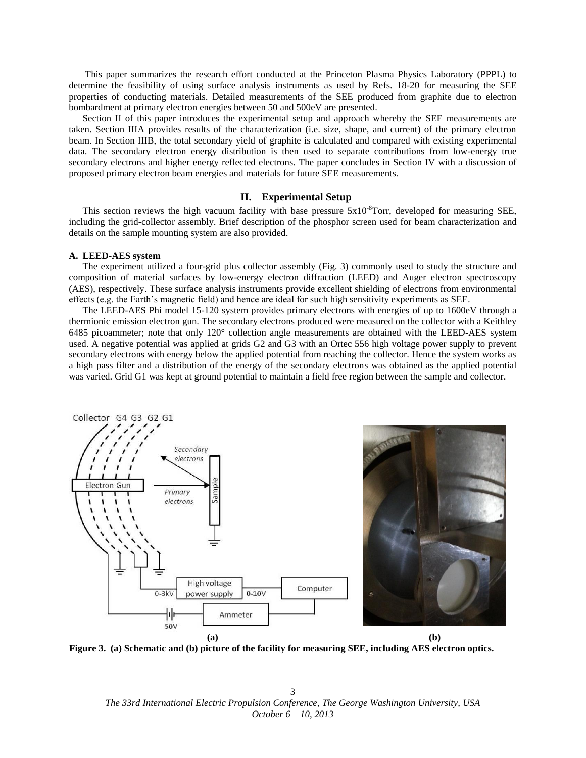This paper summarizes the research effort conducted at the Princeton Plasma Physics Laboratory (PPPL) to determine the feasibility of using surface analysis instruments as used by Refs. [18](#page-1-4)[-20](#page-1-5) for measuring the SEE properties of conducting materials. Detailed measurements of the SEE produced from graphite due to electron bombardment at primary electron energies between 50 and 500eV are presented.

Section II of this paper introduces the experimental setup and approach whereby the SEE measurements are taken. Section IIIA provides results of the characterization (i.e. size, shape, and current) of the primary electron beam. In Section IIIB, the total secondary yield of graphite is calculated and compared with existing experimental data. The secondary electron energy distribution is then used to separate contributions from low-energy true secondary electrons and higher energy reflected electrons. The paper concludes in Section IV with a discussion of proposed primary electron beam energies and materials for future SEE measurements.

# **II. Experimental Setup**

This section reviews the high vacuum facility with base pressure  $5x10^{-8}$ Torr, developed for measuring SEE, including the grid-collector assembly. Brief description of the phosphor screen used for beam characterization and details on the sample mounting system are also provided.

# **A. LEED-AES system**

The experiment utilized a four-grid plus collector assembly (Fig. 3) commonly used to study the structure and composition of material surfaces by low-energy electron diffraction (LEED) and Auger electron spectroscopy (AES), respectively. These surface analysis instruments provide excellent shielding of electrons from environmental effects (e.g. the Earth's magnetic field) and hence are ideal for such high sensitivity experiments as SEE.

The LEED-AES Phi model 15-120 system provides primary electrons with energies of up to 1600eV through a thermionic emission electron gun. The secondary electrons produced were measured on the collector with a Keithley 6485 picoammeter; note that only 120° collection angle measurements are obtained with the LEED-AES system used. A negative potential was applied at grids G2 and G3 with an Ortec 556 high voltage power supply to prevent secondary electrons with energy below the applied potential from reaching the collector. Hence the system works as a high pass filter and a distribution of the energy of the secondary electrons was obtained as the applied potential was varied. Grid G1 was kept at ground potential to maintain a field free region between the sample and collector.





**Figure 3. (a) Schematic and (b) picture of the facility for measuring SEE, including AES electron optics.**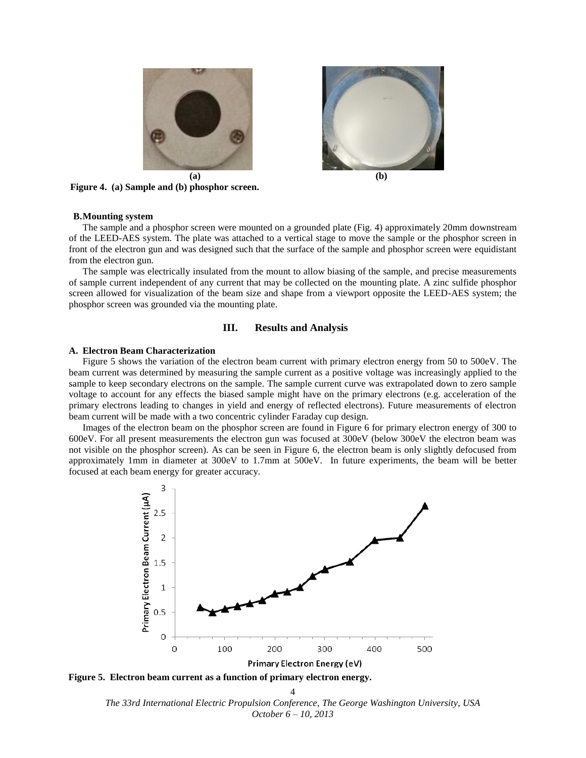





**Figure 4. (a) Sample and (b) phosphor screen.**

# **B.Mounting system**

The sample and a phosphor screen were mounted on a grounded plate (Fig. 4) approximately 20mm downstream of the LEED-AES system. The plate was attached to a vertical stage to move the sample or the phosphor screen in front of the electron gun and was designed such that the surface of the sample and phosphor screen were equidistant from the electron gun.

The sample was electrically insulated from the mount to allow biasing of the sample, and precise measurements of sample current independent of any current that may be collected on the mounting plate. A zinc sulfide phosphor screen allowed for visualization of the beam size and shape from a viewport opposite the LEED-AES system; the phosphor screen was grounded via the mounting plate.

# **III. Results and Analysis**

#### **A. Electron Beam Characterization**

Figure 5 shows the variation of the electron beam current with primary electron energy from 50 to 500eV. The beam current was determined by measuring the sample current as a positive voltage was increasingly applied to the sample to keep secondary electrons on the sample. The sample current curve was extrapolated down to zero sample voltage to account for any effects the biased sample might have on the primary electrons (e.g. acceleration of the primary electrons leading to changes in yield and energy of reflected electrons). Future measurements of electron beam current will be made with a two concentric cylinder Faraday cup design.

Images of the electron beam on the phosphor screen are found in Figure 6 for primary electron energy of 300 to 600eV. For all present measurements the electron gun was focused at 300eV (below 300eV the electron beam was not visible on the phosphor screen). As can be seen in Figure 6, the electron beam is only slightly defocused from approximately 1mm in diameter at 300eV to 1.7mm at 500eV. In future experiments, the beam will be better focused at each beam energy for greater accuracy.



**Figure 5. Electron beam current as a function of primary electron energy.**

*The 33rd International Electric Propulsion Conference, The George Washington University, USA October 6 – 10, 2013* 4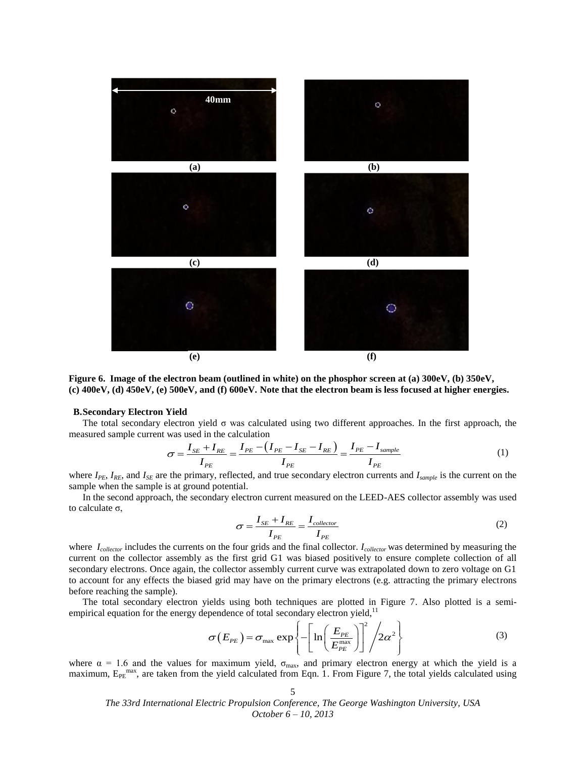

**Figure 6. Image of the electron beam (outlined in white) on the phosphor screen at (a) 300eV, (b) 350eV, (c) 400eV, (d) 450eV, (e) 500eV, and (f) 600eV. Note that the electron beam is less focused at higher energies.**

### **B.Secondary Electron Yield**

The total secondary electron yield  $\sigma$  was calculated using two different approaches. In the first approach, the assured sample current was used in the calculation<br> $\sigma = \frac{I_{SE} + I_{RE}}{I_{IE}} = \frac{I_{PE} - (I_{PE} - I_{SE})}{I_{IE}} = \frac{I_{PE} - I_{$ measured sample current was used in the calculation

was used in the calculation  
\n
$$
\sigma = \frac{I_{SE} + I_{RE}}{I_{PE}} = \frac{I_{PE} - (I_{PE} - I_{SE} - I_{RE})}{I_{PE}} = \frac{I_{PE} - I_{sample}}{I_{PE}}
$$
\n(1)

where  $I_{PE}$ ,  $I_{RE}$ , and  $I_{SE}$  are the primary, reflected, and true secondary electron currents and  $I_{sample}$  is the current on the sample when the sample is at ground potential.

In the second approach, the secondary electron current measured on the LEED-AES collector assembly was used to calculate σ,

$$
\sigma = \frac{I_{SE} + I_{RE}}{I_{PE}} = \frac{I_{\text{collector}}}{I_{PE}}
$$
(2)

where *Icollector* includes the currents on the four grids and the final collector. *Icollector* was determined by measuring the current on the collector assembly as the first grid G1 was biased positively to ensure complete collection of all secondary electrons. Once again, the collector assembly current curve was extrapolated down to zero voltage on G1 to account for any effects the biased grid may have on the primary electrons (e.g. attracting the primary electrons before reaching the sample).

The total secondary electron yields using both techniques are plotted in Figure 7. Also plotted is a semi-First total secondary electron yields using both techniques are proted in Figure 7. And<br>empirical equation for the energy dependence of total secondary electron yield,<sup>11</sup><br> $\sigma(E_{PE}) = \sigma_{max} \exp \left\{-\left[\ln\left(\frac{E_{PE}}{F_{max}}\right)^{2}\right]^{2}/2$ 

$$
\sigma(E_{PE}) = \sigma_{\text{max}} \exp\left\{-\left[\ln\left(\frac{E_{PE}}{E_{PE}^{\text{max}}}\right)\right]^2/2\alpha^2\right\}
$$
(3)

where  $\alpha = 1.6$  and the values for maximum yield,  $\sigma_{\text{max}}$ , and primary electron energy at which the yield is a maximum,  $E_{PE}^{max}$ , are taken from the yield calculated from Eqn. 1. From Figure 7, the total yields calculated using

*The 33rd International Electric Propulsion Conference, The George Washington University, USA October 6 – 10, 2013*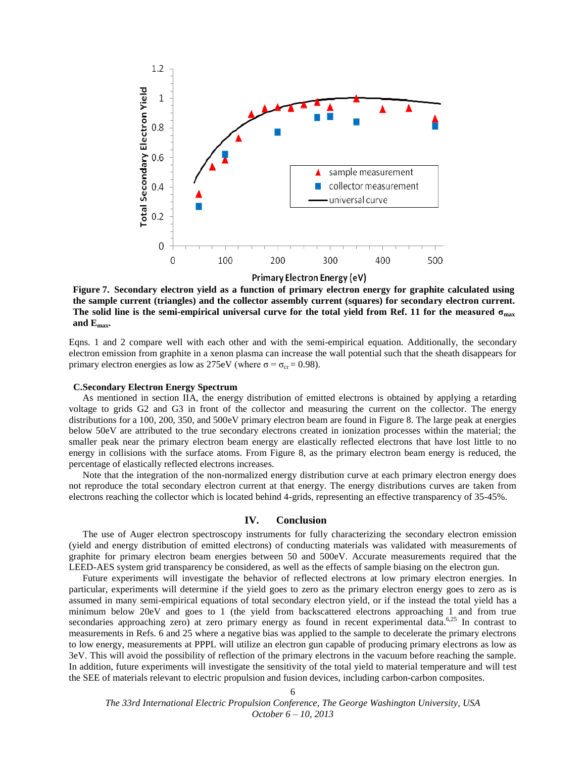

**Figure 7. Secondary electron yield as a function of primary electron energy for graphite calculated using the sample current (triangles) and the collector assembly current (squares) for secondary electron current. The solid line is the semi-empirical universal curve for the total yield from Ref. [11](#page-1-2) for the measured σmax and Emax.**

Eqns. 1 and 2 compare well with each other and with the semi-empirical equation. Additionally, the secondary electron emission from graphite in a xenon plasma can increase the wall potential such that the sheath disappears for primary electron energies as low as 275eV (where  $\sigma = \sigma_{cr} = 0.98$ ).

# **C.Secondary Electron Energy Spectrum**

As mentioned in section IIA, the energy distribution of emitted electrons is obtained by applying a retarding voltage to grids G2 and G3 in front of the collector and measuring the current on the collector. The energy distributions for a 100, 200, 350, and 500eV primary electron beam are found in Figure 8. The large peak at energies below 50eV are attributed to the true secondary electrons created in ionization processes within the material; the smaller peak near the primary electron beam energy are elastically reflected electrons that have lost little to no energy in collisions with the surface atoms. From Figure 8, as the primary electron beam energy is reduced, the percentage of elastically reflected electrons increases.

Note that the integration of the non-normalized energy distribution curve at each primary electron energy does not reproduce the total secondary electron current at that energy. The energy distributions curves are taken from electrons reaching the collector which is located behind 4-grids, representing an effective transparency of 35-45%.

# <span id="page-5-0"></span>**IV. Conclusion**

The use of Auger electron spectroscopy instruments for fully characterizing the secondary electron emission (yield and energy distribution of emitted electrons) of conducting materials was validated with measurements of graphite for primary electron beam energies between 50 and 500eV. Accurate measurements required that the LEED-AES system grid transparency be considered, as well as the effects of sample biasing on the electron gun.

Future experiments will investigate the behavior of reflected electrons at low primary electron energies. In particular, experiments will determine if the yield goes to zero as the primary electron energy goes to zero as is assumed in many semi-empirical equations of total secondary electron yield, or if the instead the total yield has a minimum below 20eV and goes to 1 (the yield from backscattered electrons approaching 1 and from true secondaries approaching zero) at zero primary energy as found in recent experimental data.<sup>[6,2](#page-1-0)5</sup> In contrast to measurements in Refs. [6](#page-1-0) and [25](#page-5-0) where a negative bias was applied to the sample to decelerate the primary electrons to low energy, measurements at PPPL will utilize an electron gun capable of producing primary electrons as low as 3eV. This will avoid the possibility of reflection of the primary electrons in the vacuum before reaching the sample. In addition, future experiments will investigate the sensitivity of the total yield to material temperature and will test the SEE of materials relevant to electric propulsion and fusion devices, including carbon-carbon composites.

*The 33rd International Electric Propulsion Conference, The George Washington University, USA October 6 – 10, 2013*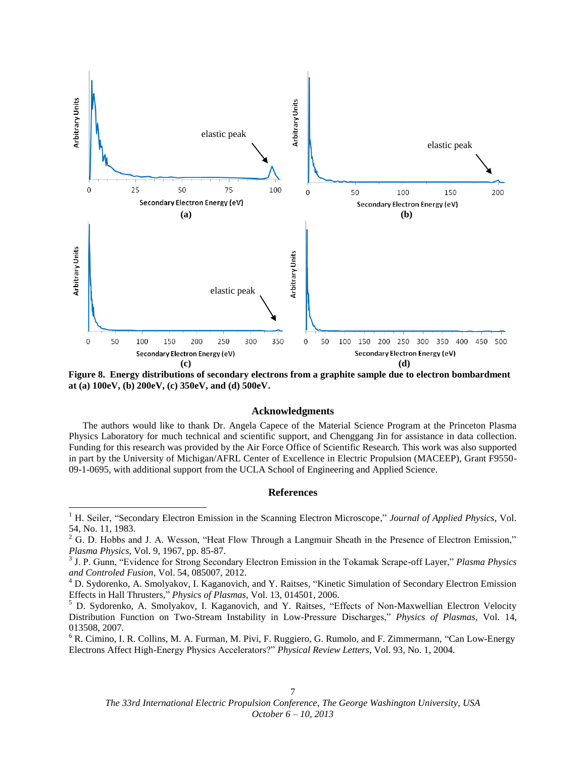

**Figure 8. Energy distributions of secondary electrons from a graphite sample due to electron bombardment at (a) 100eV, (b) 200eV, (c) 350eV, and (d) 500eV.**

#### **Acknowledgments**

The authors would like to thank Dr. Angela Capece of the Material Science Program at the Princeton Plasma Physics Laboratory for much technical and scientific support, and Chenggang Jin for assistance in data collection. Funding for this research was provided by the Air Force Office of Scientific Research. This work was also supported in part by the University of Michigan/AFRL Center of Excellence in Electric Propulsion (MACEEP), Grant F9550- 09-1-0695, with additional support from the UCLA School of Engineering and Applied Science.

# **References**

 $\overline{a}$ 

<sup>6</sup> R. Cimino, I. R. Collins, M. A. Furman, M. Pivi, F. Ruggiero, G. Rumolo, and F. Zimmermann, "Can Low-Energy Electrons Affect High-Energy Physics Accelerators?" *Physical Review Letters*, Vol. 93, No. 1, 2004.

<sup>&</sup>lt;sup>1</sup> H. Seiler, "Secondary Electron Emission in the Scanning Electron Microscope," Journal of Applied Physics, Vol. 54, No. 11, 1983.

<sup>&</sup>lt;sup>2</sup> G. D. Hobbs and J. A. Wesson, "Heat Flow Through a Langmuir Sheath in the Presence of Electron Emission," *Plasma Physics*, Vol. 9, 1967, pp. 85-87. 3 J. P. Gunn, "Evidence for Strong Secondary Electron Emission in the Tokamak Scrape-off Layer," *Plasma Physics* 

*and Controled Fusion*, Vol. 54, 085007, 2012.

<sup>4</sup> D. Sydorenko, A. Smolyakov, I. Kaganovich, and Y. Raitses, "Kinetic Simulation of Secondary Electron Emission Effects in Hall Thrusters," *Physics of Plasmas*, Vol. 13, 014501, 2006.

<sup>5</sup> D. Sydorenko, A. Smolyakov, I. Kaganovich, and Y. Raitses, "Effects of Non-Maxwellian Electron Velocity Distribution Function on Two-Stream Instability in Low-Pressure Discharges," *Physics of Plasmas*, Vol. 14, 013508, 2007.